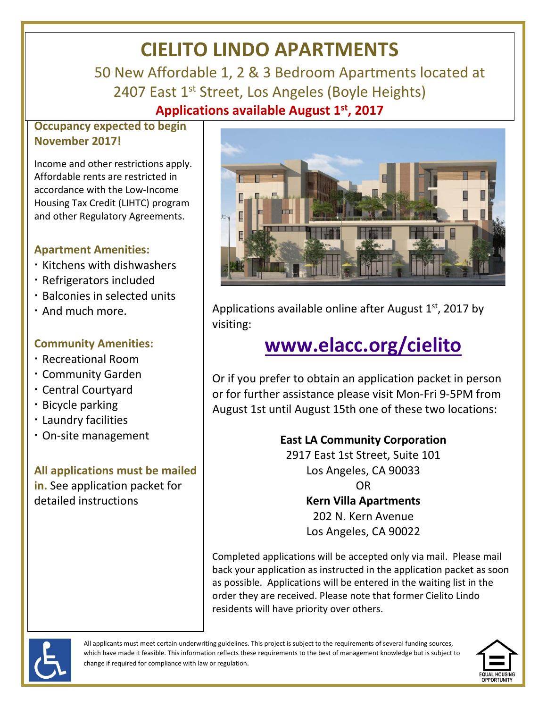# **CIELITO LINDO APARTMENTS**

 50 New Affordable 1, 2 & 3 Bedroom Apartments located at 2407 East 1<sup>st</sup> Street, Los Angeles (Boyle Heights) **Applications available August 1st , 2017**

### **Occupancy expected to begin November 2017!**

Income and other restrictions apply. Affordable rents are restricted in accordance with the Low-Income Housing Tax Credit (LIHTC) program and other Regulatory Agreements.

#### **Apartment Amenities:**

- Kitchens with dishwashers
- Refrigerators included
- Balconies in selected units
- . And much more.

### **Community Amenities:**

- Recreational Room
- Community Garden
- Central Courtyard
- Bicycle parking
- Laundry facilities
- On-site management

**All applications must be mailed in.** See application packet for detailed instructions



Applications available online after August  $1<sup>st</sup>$ , 2017 by visiting:

# **[www.elacc.org/cielito](http://www.elacc.org/cielito)**

Or if you prefer to obtain an application packet in person or for further assistance please visit Mon-Fri 9-5PM from August 1st until August 15th one of these two locations:

### **East LA Community Corporation**

2917 East 1st Street, Suite 101 Los Angeles, CA 90033 OR

#### **Kern Villa Apartments**

202 N. Kern Avenue Los Angeles, CA 90022

Completed applications will be accepted only via mail. Please mail back your application as instructed in the application packet as soon as possible. Applications will be entered in the waiting list in the order they are received. Please note that former Cielito Lindo residents will have priority over others.



All applicants must meet certain underwriting guidelines. This project is subject to the requirements of several funding sources, which have made it feasible. This information reflects these requirements to the best of management knowledge but is subject to change if required for compliance with law or regulation.